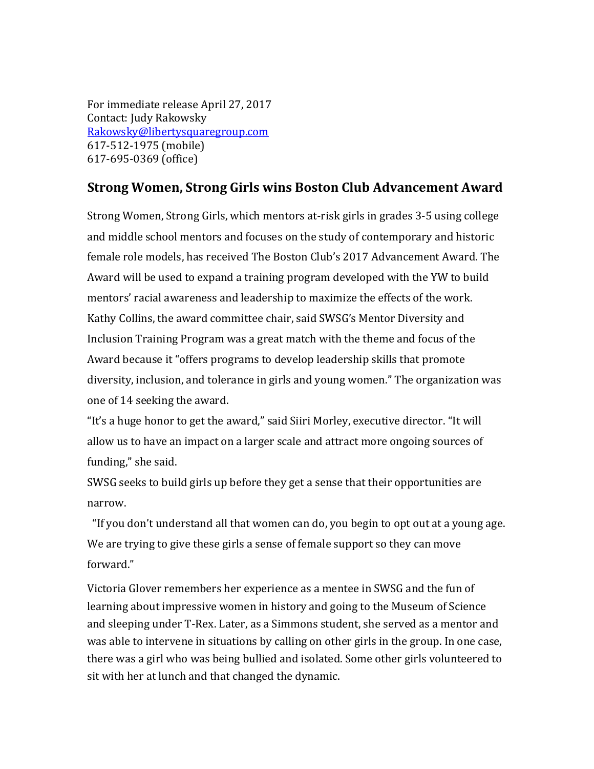For immediate release April 27, 2017 Contact: Judy Rakowsky [Rakowsky@libertysquaregroup.com](mailto:Rakowsky@libertysquaregroup.com) 617-512-1975 (mobile) 617-695-0369 (office)

## **Strong Women, Strong Girls wins Boston Club Advancement Award**

Strong Women, Strong Girls, which mentors at-risk girls in grades 3-5 using college and middle school mentors and focuses on the study of contemporary and historic female role models, has received The Boston Club's 2017 Advancement Award. The Award will be used to expand a training program developed with the YW to build mentors' racial awareness and leadership to maximize the effects of the work. Kathy Collins, the award committee chair, said SWSG's Mentor Diversity and Inclusion Training Program was a great match with the theme and focus of the Award because it "offers programs to develop leadership skills that promote diversity, inclusion, and tolerance in girls and young women." The organization was one of 14 seeking the award.

"It's a huge honor to get the award," said Siiri Morley, executive director. "It will allow us to have an impact on a larger scale and attract more ongoing sources of funding," she said.

SWSG seeks to build girls up before they get a sense that their opportunities are narrow.

 "If you don't understand all that women can do, you begin to opt out at a young age. We are trying to give these girls a sense of female support so they can move forward."

Victoria Glover remembers her experience as a mentee in SWSG and the fun of learning about impressive women in history and going to the Museum of Science and sleeping under T-Rex. Later, as a Simmons student, she served as a mentor and was able to intervene in situations by calling on other girls in the group. In one case, there was a girl who was being bullied and isolated. Some other girls volunteered to sit with her at lunch and that changed the dynamic.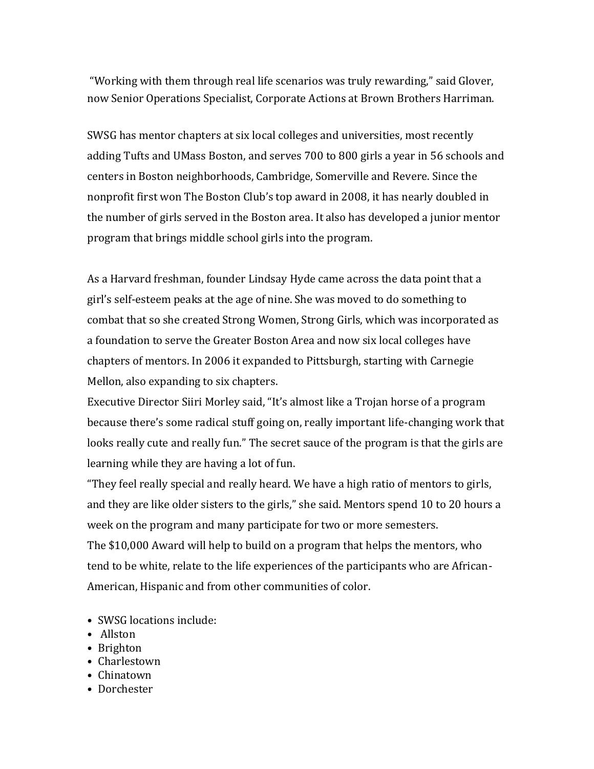"Working with them through real life scenarios was truly rewarding," said Glover, now Senior Operations Specialist, Corporate Actions at Brown Brothers Harriman.

SWSG has mentor chapters at six local colleges and universities, most recently adding Tufts and UMass Boston, and serves 700 to 800 girls a year in 56 schools and centers in Boston neighborhoods, Cambridge, Somerville and Revere. Since the nonprofit first won The Boston Club's top award in 2008, it has nearly doubled in the number of girls served in the Boston area. It also has developed a junior mentor program that brings middle school girls into the program.

As a Harvard freshman, founder Lindsay Hyde came across the data point that a girl's self-esteem peaks at the age of nine. She was moved to do something to combat that so she created Strong Women, Strong Girls, which was incorporated as a foundation to serve the Greater Boston Area and now six local colleges have chapters of mentors. In 2006 it expanded to Pittsburgh, starting with Carnegie Mellon, also expanding to six chapters.

Executive Director Siiri Morley said, "It's almost like a Trojan horse of a program because there's some radical stuff going on, really important life-changing work that looks really cute and really fun." The secret sauce of the program is that the girls are learning while they are having a lot of fun.

"They feel really special and really heard. We have a high ratio of mentors to girls, and they are like older sisters to the girls," she said. Mentors spend 10 to 20 hours a week on the program and many participate for two or more semesters. The \$10,000 Award will help to build on a program that helps the mentors, who tend to be white, relate to the life experiences of the participants who are African-American, Hispanic and from other communities of color.

- SWSG locations include:
- Allston
- Brighton
- Charlestown
- Chinatown
- Dorchester